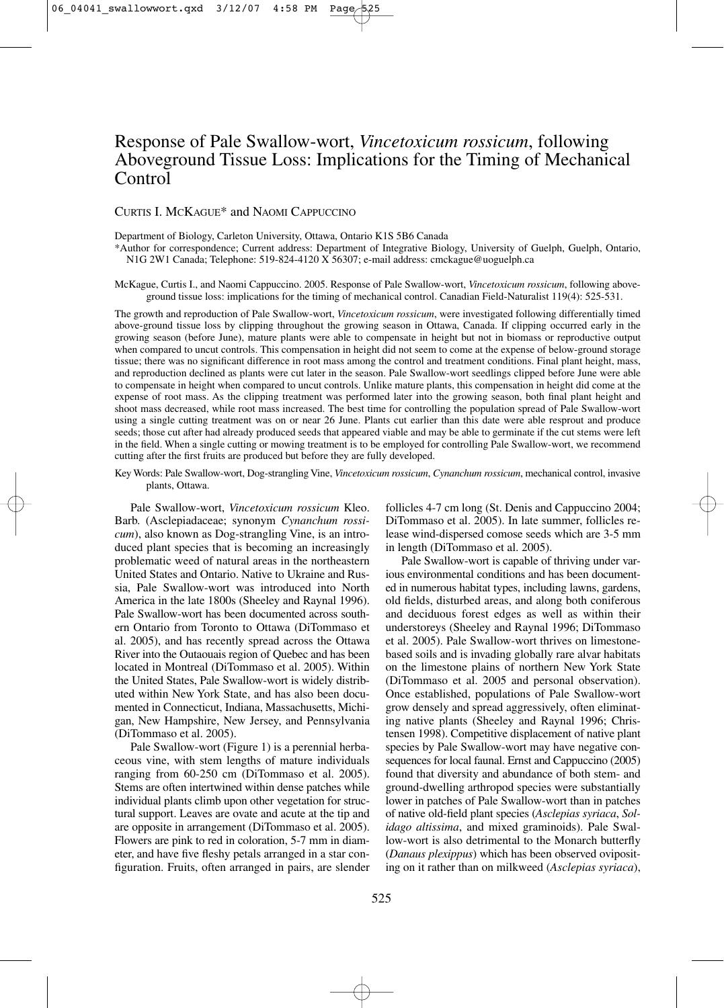# Response of Pale Swallow-wort, *Vincetoxicum rossicum*, following Aboveground Tissue Loss: Implications for the Timing of Mechanical **Control**

# CURTIS I. MCKAGUE\* and NAOMI CAPPUCCINO

Department of Biology, Carleton University, Ottawa, Ontario K1S 5B6 Canada

- \*Author for correspondence; Current address: Department of Integrative Biology, University of Guelph, Guelph, Ontario, N1G 2W1 Canada; Telephone: 519-824-4120 X 56307; e-mail address: cmckague@uoguelph.ca
- McKague, Curtis I., and Naomi Cappuccino. 2005. Response of Pale Swallow-wort, *Vincetoxicum rossicum*, following aboveground tissue loss: implications for the timing of mechanical control. Canadian Field-Naturalist 119(4): 525-531.

The growth and reproduction of Pale Swallow-wort, *Vincetoxicum rossicum*, were investigated following differentially timed above-ground tissue loss by clipping throughout the growing season in Ottawa, Canada. If clipping occurred early in the growing season (before June), mature plants were able to compensate in height but not in biomass or reproductive output when compared to uncut controls. This compensation in height did not seem to come at the expense of below-ground storage tissue; there was no significant difference in root mass among the control and treatment conditions. Final plant height, mass, and reproduction declined as plants were cut later in the season. Pale Swallow-wort seedlings clipped before June were able to compensate in height when compared to uncut controls. Unlike mature plants, this compensation in height did come at the expense of root mass. As the clipping treatment was performed later into the growing season, both final plant height and shoot mass decreased, while root mass increased. The best time for controlling the population spread of Pale Swallow-wort using a single cutting treatment was on or near 26 June. Plants cut earlier than this date were able resprout and produce seeds; those cut after had already produced seeds that appeared viable and may be able to germinate if the cut stems were left in the field. When a single cutting or mowing treatment is to be employed for controlling Pale Swallow-wort, we recommend cutting after the first fruits are produced but before they are fully developed.

Key Words: Pale Swallow-wort, Dog-strangling Vine, *Vincetoxicum rossicum*, *Cynanchum rossicum*, mechanical control, invasive plants, Ottawa.

Pale Swallow-wort, *Vincetoxicum rossicum* Kleo. Barb. (Asclepiadaceae; synonym *Cynanchum rossicum*), also known as Dog-strangling Vine, is an introduced plant species that is becoming an increasingly problematic weed of natural areas in the northeastern United States and Ontario. Native to Ukraine and Russia, Pale Swallow-wort was introduced into North America in the late 1800s (Sheeley and Raynal 1996). Pale Swallow-wort has been documented across southern Ontario from Toronto to Ottawa (DiTommaso et al. 2005), and has recently spread across the Ottawa River into the Outaouais region of Quebec and has been located in Montreal (DiTommaso et al. 2005). Within the United States, Pale Swallow-wort is widely distributed within New York State, and has also been documented in Connecticut, Indiana, Massachusetts, Michigan, New Hampshire, New Jersey, and Pennsylvania (DiTommaso et al. 2005).

Pale Swallow-wort (Figure 1) is a perennial herbaceous vine, with stem lengths of mature individuals ranging from 60-250 cm (DiTommaso et al. 2005). Stems are often intertwined within dense patches while individual plants climb upon other vegetation for structural support. Leaves are ovate and acute at the tip and are opposite in arrangement (DiTommaso et al. 2005). Flowers are pink to red in coloration, 5-7 mm in diameter, and have five fleshy petals arranged in a star configuration. Fruits, often arranged in pairs, are slender follicles 4-7 cm long (St. Denis and Cappuccino 2004; DiTommaso et al. 2005). In late summer, follicles release wind-dispersed comose seeds which are 3-5 mm in length (DiTommaso et al. 2005).

Pale Swallow-wort is capable of thriving under various environmental conditions and has been documented in numerous habitat types, including lawns, gardens, old fields, disturbed areas, and along both coniferous and deciduous forest edges as well as within their understoreys (Sheeley and Raynal 1996; DiTommaso et al. 2005). Pale Swallow-wort thrives on limestonebased soils and is invading globally rare alvar habitats on the limestone plains of northern New York State (DiTommaso et al. 2005 and personal observation). Once established, populations of Pale Swallow-wort grow densely and spread aggressively, often eliminating native plants (Sheeley and Raynal 1996; Christensen 1998). Competitive displacement of native plant species by Pale Swallow-wort may have negative consequences for local faunal. Ernst and Cappuccino (2005) found that diversity and abundance of both stem- and ground-dwelling arthropod species were substantially lower in patches of Pale Swallow-wort than in patches of native old-field plant species (*Asclepias syriaca*, *Solidago altissima*, and mixed graminoids). Pale Swallow-wort is also detrimental to the Monarch butterfly (*Danaus plexippus*) which has been observed ovipositing on it rather than on milkweed (*Asclepias syriaca*),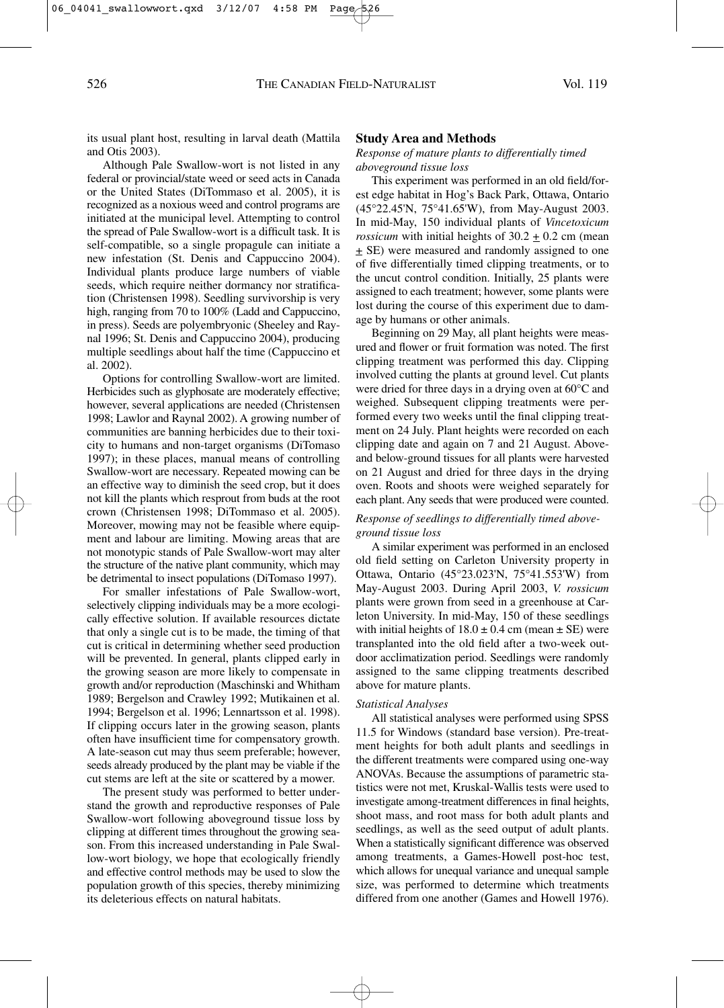its usual plant host, resulting in larval death (Mattila and Otis 2003).

Although Pale Swallow-wort is not listed in any federal or provincial/state weed or seed acts in Canada or the United States (DiTommaso et al. 2005), it is recognized as a noxious weed and control programs are initiated at the municipal level. Attempting to control the spread of Pale Swallow-wort is a difficult task. It is self-compatible, so a single propagule can initiate a new infestation (St. Denis and Cappuccino 2004). Individual plants produce large numbers of viable seeds, which require neither dormancy nor stratification (Christensen 1998). Seedling survivorship is very high, ranging from 70 to 100% (Ladd and Cappuccino, in press). Seeds are polyembryonic (Sheeley and Raynal 1996; St. Denis and Cappuccino 2004), producing multiple seedlings about half the time (Cappuccino et al. 2002).

Options for controlling Swallow-wort are limited. Herbicides such as glyphosate are moderately effective; however, several applications are needed (Christensen 1998; Lawlor and Raynal 2002). A growing number of communities are banning herbicides due to their toxicity to humans and non-target organisms (DiTomaso 1997); in these places, manual means of controlling Swallow-wort are necessary. Repeated mowing can be an effective way to diminish the seed crop, but it does not kill the plants which resprout from buds at the root crown (Christensen 1998; DiTommaso et al. 2005). Moreover, mowing may not be feasible where equipment and labour are limiting. Mowing areas that are not monotypic stands of Pale Swallow-wort may alter the structure of the native plant community, which may be detrimental to insect populations (DiTomaso 1997).

For smaller infestations of Pale Swallow-wort, selectively clipping individuals may be a more ecologically effective solution. If available resources dictate that only a single cut is to be made, the timing of that cut is critical in determining whether seed production will be prevented. In general, plants clipped early in the growing season are more likely to compensate in growth and/or reproduction (Maschinski and Whitham 1989; Bergelson and Crawley 1992; Mutikainen et al. 1994; Bergelson et al. 1996; Lennartsson et al. 1998). If clipping occurs later in the growing season, plants often have insufficient time for compensatory growth. A late-season cut may thus seem preferable; however, seeds already produced by the plant may be viable if the cut stems are left at the site or scattered by a mower.

The present study was performed to better understand the growth and reproductive responses of Pale Swallow-wort following aboveground tissue loss by clipping at different times throughout the growing season. From this increased understanding in Pale Swallow-wort biology, we hope that ecologically friendly and effective control methods may be used to slow the population growth of this species, thereby minimizing its deleterious effects on natural habitats.

#### **Study Area and Methods**

#### *Response of mature plants to differentially timed aboveground tissue loss*

This experiment was performed in an old field/forest edge habitat in Hog's Back Park, Ottawa, Ontario (45°22.45'N, 75°41.65'W), from May-August 2003. In mid-May, 150 individual plants of *Vincetoxicum rossicum* with initial heights of  $30.2 \pm 0.2$  cm (mean + SE) were measured and randomly assigned to one of five differentially timed clipping treatments, or to the uncut control condition. Initially, 25 plants were assigned to each treatment; however, some plants were lost during the course of this experiment due to damage by humans or other animals.

Beginning on 29 May, all plant heights were measured and flower or fruit formation was noted. The first clipping treatment was performed this day. Clipping involved cutting the plants at ground level. Cut plants were dried for three days in a drying oven at 60°C and weighed. Subsequent clipping treatments were performed every two weeks until the final clipping treatment on 24 July. Plant heights were recorded on each clipping date and again on 7 and 21 August. Aboveand below-ground tissues for all plants were harvested on 21 August and dried for three days in the drying oven. Roots and shoots were weighed separately for each plant. Any seeds that were produced were counted.

# *Response of seedlings to differentially timed aboveground tissue loss*

A similar experiment was performed in an enclosed old field setting on Carleton University property in Ottawa, Ontario (45°23.023'N, 75°41.553'W) from May-August 2003. During April 2003, *V. rossicum* plants were grown from seed in a greenhouse at Carleton University. In mid-May, 150 of these seedlings with initial heights of  $18.0 \pm 0.4$  cm (mean  $\pm$  SE) were transplanted into the old field after a two-week outdoor acclimatization period. Seedlings were randomly assigned to the same clipping treatments described above for mature plants.

### *Statistical Analyses*

All statistical analyses were performed using SPSS 11.5 for Windows (standard base version). Pre-treatment heights for both adult plants and seedlings in the different treatments were compared using one-way ANOVAs. Because the assumptions of parametric statistics were not met, Kruskal-Wallis tests were used to investigate among-treatment differences in final heights, shoot mass, and root mass for both adult plants and seedlings, as well as the seed output of adult plants. When a statistically significant difference was observed among treatments, a Games-Howell post-hoc test, which allows for unequal variance and unequal sample size, was performed to determine which treatments differed from one another (Games and Howell 1976).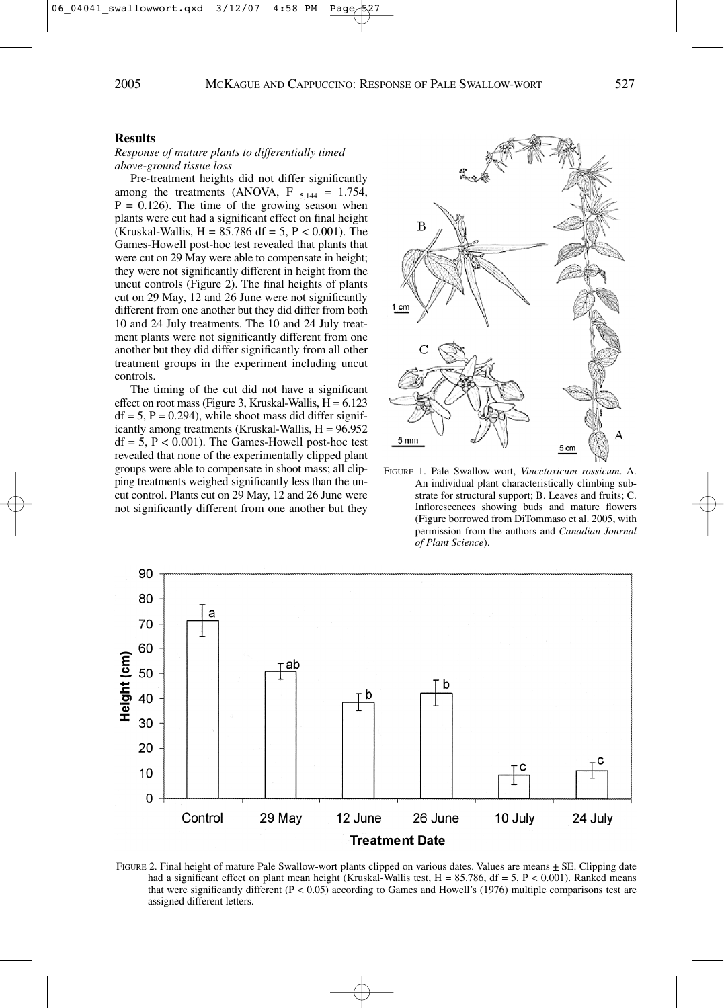#### *Response of mature plants to differentially timed above-ground tissue loss*

Pre-treatment heights did not differ significantly among the treatments (ANOVA, F  $_{5,144}$  = 1.754,  $P = 0.126$ . The time of the growing season when plants were cut had a significant effect on final height (Kruskal-Wallis,  $H = 85.786$  df = 5, P < 0.001). The Games-Howell post-hoc test revealed that plants that were cut on 29 May were able to compensate in height; they were not significantly different in height from the uncut controls (Figure 2). The final heights of plants cut on 29 May, 12 and 26 June were not significantly different from one another but they did differ from both 10 and 24 July treatments. The 10 and 24 July treatment plants were not significantly different from one another but they did differ significantly from all other treatment groups in the experiment including uncut controls.

The timing of the cut did not have a significant effect on root mass (Figure 3, Kruskal-Wallis,  $H = 6.123$ )  $df = 5$ ,  $P = 0.294$ , while shoot mass did differ significantly among treatments (Kruskal-Wallis, H = 96.952  $df = 5$ ,  $P < 0.001$ ). The Games-Howell post-hoc test revealed that none of the experimentally clipped plant groups were able to compensate in shoot mass; all clipping treatments weighed significantly less than the uncut control. Plants cut on 29 May, 12 and 26 June were not significantly different from one another but they



FIGURE 1. Pale Swallow-wort, *Vincetoxicum rossicum*. A. An individual plant characteristically climbing substrate for structural support; B. Leaves and fruits; C. Inflorescences showing buds and mature flowers (Figure borrowed from DiTommaso et al. 2005, with permission from the authors and *Canadian Journal of Plant Science*).



FIGURE 2. Final height of mature Pale Swallow-wort plants clipped on various dates. Values are means  $\pm$  SE. Clipping date had a significant effect on plant mean height (Kruskal-Wallis test,  $H = 85.786$ ,  $df = 5$ ,  $P < 0.001$ ). Ranked means that were significantly different ( $P < 0.05$ ) according to Games and Howell's (1976) multiple comparisons test are assigned different letters.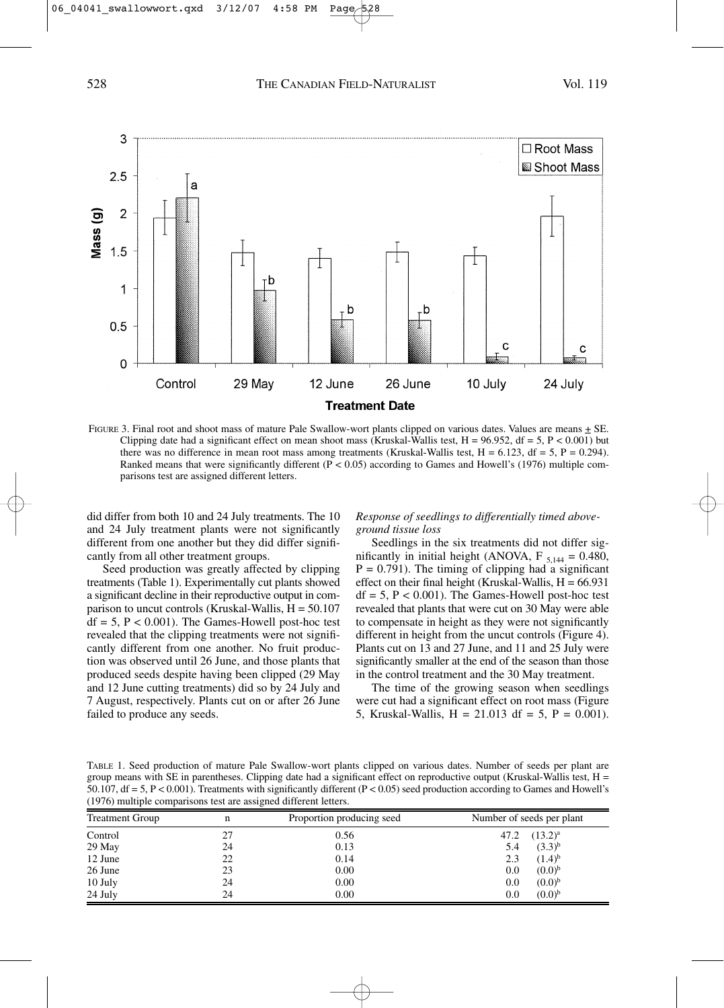

FIGURE 3. Final root and shoot mass of mature Pale Swallow-wort plants clipped on various dates. Values are means  $\pm$  SE. Clipping date had a significant effect on mean shoot mass (Kruskal-Wallis test,  $H = 96.952$ , df = 5, P < 0.001) but there was no difference in mean root mass among treatments (Kruskal-Wallis test,  $H = 6.123$ ,  $df = 5$ ,  $P = 0.294$ ). Ranked means that were significantly different ( $P < 0.05$ ) according to Games and Howell's (1976) multiple comparisons test are assigned different letters.

did differ from both 10 and 24 July treatments. The 10 and 24 July treatment plants were not significantly different from one another but they did differ significantly from all other treatment groups.

Seed production was greatly affected by clipping treatments (Table 1). Experimentally cut plants showed a significant decline in their reproductive output in comparison to uncut controls (Kruskal-Wallis,  $H = 50.107$  $df = 5$ ,  $P < 0.001$ ). The Games-Howell post-hoc test revealed that the clipping treatments were not significantly different from one another. No fruit production was observed until 26 June, and those plants that produced seeds despite having been clipped (29 May and 12 June cutting treatments) did so by 24 July and 7 August, respectively. Plants cut on or after 26 June failed to produce any seeds.

## *Response of seedlings to differentially timed aboveground tissue loss*

Seedlings in the six treatments did not differ significantly in initial height (ANOVA,  $F_{5,144} = 0.480$ ,  $P = 0.791$ ). The timing of clipping had a significant effect on their final height (Kruskal-Wallis,  $H = 66.931$  $df = 5$ ,  $P < 0.001$ ). The Games-Howell post-hoc test revealed that plants that were cut on 30 May were able to compensate in height as they were not significantly different in height from the uncut controls (Figure 4). Plants cut on 13 and 27 June, and 11 and 25 July were significantly smaller at the end of the season than those in the control treatment and the 30 May treatment.

The time of the growing season when seedlings were cut had a significant effect on root mass (Figure 5, Kruskal-Wallis,  $H = 21.013$  df = 5, P = 0.001).

TABLE 1. Seed production of mature Pale Swallow-wort plants clipped on various dates. Number of seeds per plant are group means with SE in parentheses. Clipping date had a significant effect on reproductive output (Kruskal-Wallis test,  $H =$ 50.107, df = 5, P < 0.001). Treatments with significantly different (P < 0.05) seed production according to Games and Howell's (1976) multiple comparisons test are assigned different letters.

| <b>Treatment Group</b> | n  | Proportion producing seed | Number of seeds per plant |
|------------------------|----|---------------------------|---------------------------|
| Control                | 27 | 0.56                      | $(13.2)^{a}$<br>47.2      |
| 29 May                 | 24 | 0.13                      | $(3.3)^{b}$<br>5.4        |
| 12 June                | 22 | 0.14                      | $(1.4)^{b}$<br>2.3        |
| 26 June                | 23 | 0.00                      | $(0.0)^{b}$<br>0.0        |
| 10 July                | 24 | 0.00                      | $(0.0)^{b}$<br>0.0        |
| 24 July                | 24 | 0.00                      | $(0.0)^{b}$<br>0.0        |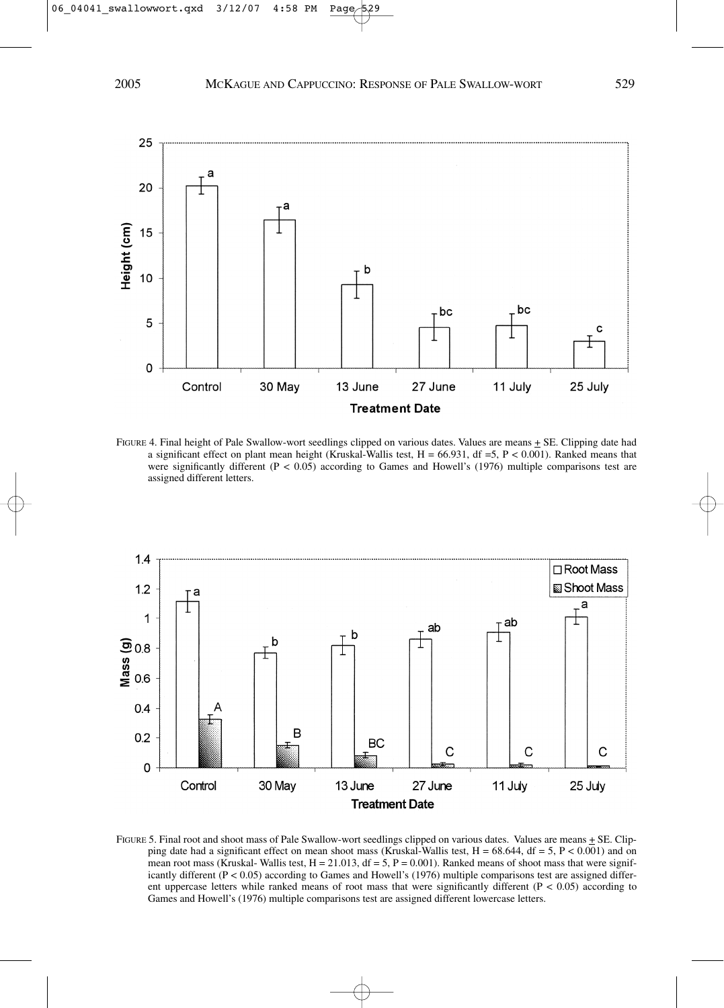

FIGURE 4. Final height of Pale Swallow-wort seedlings clipped on various dates. Values are means  $\pm$  SE. Clipping date had a significant effect on plant mean height (Kruskal-Wallis test,  $H = 66.931$ , df =5, P < 0.001). Ranked means that were significantly different (P < 0.05) according to Games and Howell's (1976) multiple comparisons test are assigned different letters.



FIGURE 5. Final root and shoot mass of Pale Swallow-wort seedlings clipped on various dates. Values are means  $\pm$  SE. Clipping date had a significant effect on mean shoot mass (Kruskal-Wallis test,  $H = 68.644$ ,  $df = 5$ ,  $P < 0.001$ ) and on mean root mass (Kruskal- Wallis test,  $H = 21.013$ ,  $df = 5$ ,  $P = 0.001$ ). Ranked means of shoot mass that were significantly different (P < 0.05) according to Games and Howell's (1976) multiple comparisons test are assigned different uppercase letters while ranked means of root mass that were significantly different ( $P < 0.05$ ) according to Games and Howell's (1976) multiple comparisons test are assigned different lowercase letters.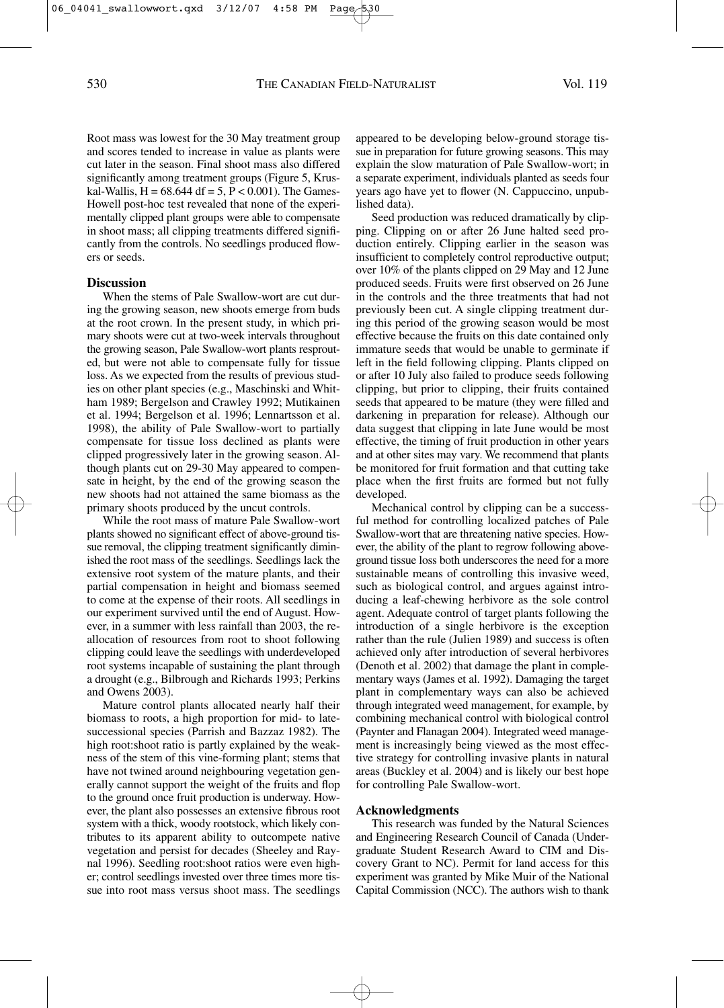Root mass was lowest for the 30 May treatment group and scores tended to increase in value as plants were cut later in the season. Final shoot mass also differed significantly among treatment groups (Figure 5, Kruskal-Wallis,  $H = 68.644$  df = 5, P < 0.001). The Games-Howell post-hoc test revealed that none of the experimentally clipped plant groups were able to compensate in shoot mass; all clipping treatments differed significantly from the controls. No seedlings produced flowers or seeds.

#### **Discussion**

When the stems of Pale Swallow-wort are cut during the growing season, new shoots emerge from buds at the root crown. In the present study, in which primary shoots were cut at two-week intervals throughout the growing season, Pale Swallow-wort plants resprouted, but were not able to compensate fully for tissue loss. As we expected from the results of previous studies on other plant species (e.g., Maschinski and Whitham 1989; Bergelson and Crawley 1992; Mutikainen et al. 1994; Bergelson et al. 1996; Lennartsson et al. 1998), the ability of Pale Swallow-wort to partially compensate for tissue loss declined as plants were clipped progressively later in the growing season. Although plants cut on 29-30 May appeared to compensate in height, by the end of the growing season the new shoots had not attained the same biomass as the primary shoots produced by the uncut controls.

While the root mass of mature Pale Swallow-wort plants showed no significant effect of above-ground tissue removal, the clipping treatment significantly diminished the root mass of the seedlings. Seedlings lack the extensive root system of the mature plants, and their partial compensation in height and biomass seemed to come at the expense of their roots. All seedlings in our experiment survived until the end of August. However, in a summer with less rainfall than 2003, the reallocation of resources from root to shoot following clipping could leave the seedlings with underdeveloped root systems incapable of sustaining the plant through a drought (e.g., Bilbrough and Richards 1993; Perkins and Owens 2003).

Mature control plants allocated nearly half their biomass to roots, a high proportion for mid- to latesuccessional species (Parrish and Bazzaz 1982). The high root:shoot ratio is partly explained by the weakness of the stem of this vine-forming plant; stems that have not twined around neighbouring vegetation generally cannot support the weight of the fruits and flop to the ground once fruit production is underway. However, the plant also possesses an extensive fibrous root system with a thick, woody rootstock, which likely contributes to its apparent ability to outcompete native vegetation and persist for decades (Sheeley and Raynal 1996). Seedling root:shoot ratios were even higher; control seedlings invested over three times more tissue into root mass versus shoot mass. The seedlings appeared to be developing below-ground storage tissue in preparation for future growing seasons. This may explain the slow maturation of Pale Swallow-wort; in a separate experiment, individuals planted as seeds four years ago have yet to flower (N. Cappuccino, unpublished data).

Seed production was reduced dramatically by clipping. Clipping on or after 26 June halted seed production entirely. Clipping earlier in the season was insufficient to completely control reproductive output; over 10% of the plants clipped on 29 May and 12 June produced seeds. Fruits were first observed on 26 June in the controls and the three treatments that had not previously been cut. A single clipping treatment during this period of the growing season would be most effective because the fruits on this date contained only immature seeds that would be unable to germinate if left in the field following clipping. Plants clipped on or after 10 July also failed to produce seeds following clipping, but prior to clipping, their fruits contained seeds that appeared to be mature (they were filled and darkening in preparation for release). Although our data suggest that clipping in late June would be most effective, the timing of fruit production in other years and at other sites may vary. We recommend that plants be monitored for fruit formation and that cutting take place when the first fruits are formed but not fully developed.

Mechanical control by clipping can be a successful method for controlling localized patches of Pale Swallow-wort that are threatening native species. However, the ability of the plant to regrow following aboveground tissue loss both underscores the need for a more sustainable means of controlling this invasive weed, such as biological control, and argues against introducing a leaf-chewing herbivore as the sole control agent. Adequate control of target plants following the introduction of a single herbivore is the exception rather than the rule (Julien 1989) and success is often achieved only after introduction of several herbivores (Denoth et al. 2002) that damage the plant in complementary ways (James et al. 1992). Damaging the target plant in complementary ways can also be achieved through integrated weed management, for example, by combining mechanical control with biological control (Paynter and Flanagan 2004). Integrated weed management is increasingly being viewed as the most effective strategy for controlling invasive plants in natural areas (Buckley et al. 2004) and is likely our best hope for controlling Pale Swallow-wort.

#### **Acknowledgments**

This research was funded by the Natural Sciences and Engineering Research Council of Canada (Undergraduate Student Research Award to CIM and Discovery Grant to NC). Permit for land access for this experiment was granted by Mike Muir of the National Capital Commission (NCC). The authors wish to thank